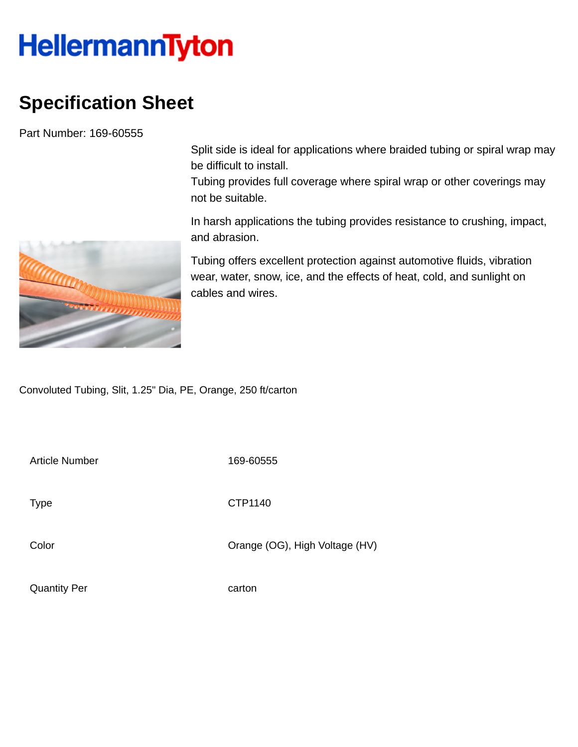## **HellermannTyton**

## **Specification Sheet**

Part Number: 169-60555

Split side is ideal for applications where braided tubing or spiral wrap may be difficult to install.

Tubing provides full coverage where spiral wrap or other coverings may not be suitable.

In harsh applications the tubing provides resistance to crushing, impact, and abrasion.

Tubing offers excellent protection against automotive fluids, vibration wear, water, snow, ice, and the effects of heat, cold, and sunlight on cables and wires.

Convoluted Tubing, Slit, 1.25" Dia, PE, Orange, 250 ft/carton

Article Number 169-60555

Type **CTP1140** 

Color Color Color Color Color Color Color Color Color Color Color Color Color Color Color Color Color Color Co

Quantity Per carton

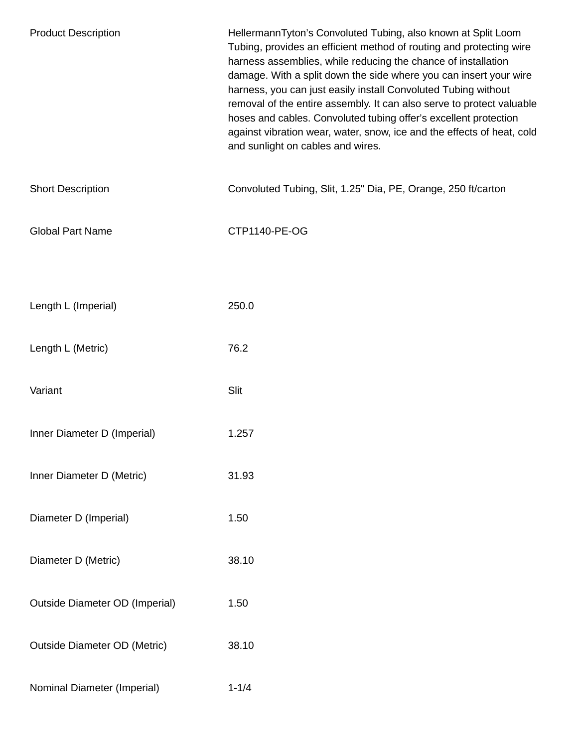| <b>Product Description</b>            | HellermannTyton's Convoluted Tubing, also known at Split Loom<br>Tubing, provides an efficient method of routing and protecting wire<br>harness assemblies, while reducing the chance of installation<br>damage. With a split down the side where you can insert your wire<br>harness, you can just easily install Convoluted Tubing without<br>removal of the entire assembly. It can also serve to protect valuable<br>hoses and cables. Convoluted tubing offer's excellent protection<br>against vibration wear, water, snow, ice and the effects of heat, cold<br>and sunlight on cables and wires. |
|---------------------------------------|----------------------------------------------------------------------------------------------------------------------------------------------------------------------------------------------------------------------------------------------------------------------------------------------------------------------------------------------------------------------------------------------------------------------------------------------------------------------------------------------------------------------------------------------------------------------------------------------------------|
| <b>Short Description</b>              | Convoluted Tubing, Slit, 1.25" Dia, PE, Orange, 250 ft/carton                                                                                                                                                                                                                                                                                                                                                                                                                                                                                                                                            |
| <b>Global Part Name</b>               | CTP1140-PE-OG                                                                                                                                                                                                                                                                                                                                                                                                                                                                                                                                                                                            |
|                                       |                                                                                                                                                                                                                                                                                                                                                                                                                                                                                                                                                                                                          |
| Length L (Imperial)                   | 250.0                                                                                                                                                                                                                                                                                                                                                                                                                                                                                                                                                                                                    |
| Length L (Metric)                     | 76.2                                                                                                                                                                                                                                                                                                                                                                                                                                                                                                                                                                                                     |
| Variant                               | Slit                                                                                                                                                                                                                                                                                                                                                                                                                                                                                                                                                                                                     |
| Inner Diameter D (Imperial)           | 1.257                                                                                                                                                                                                                                                                                                                                                                                                                                                                                                                                                                                                    |
| Inner Diameter D (Metric)             | 31.93                                                                                                                                                                                                                                                                                                                                                                                                                                                                                                                                                                                                    |
| Diameter D (Imperial)                 | 1.50                                                                                                                                                                                                                                                                                                                                                                                                                                                                                                                                                                                                     |
| Diameter D (Metric)                   | 38.10                                                                                                                                                                                                                                                                                                                                                                                                                                                                                                                                                                                                    |
| <b>Outside Diameter OD (Imperial)</b> | 1.50                                                                                                                                                                                                                                                                                                                                                                                                                                                                                                                                                                                                     |
| <b>Outside Diameter OD (Metric)</b>   | 38.10                                                                                                                                                                                                                                                                                                                                                                                                                                                                                                                                                                                                    |
| Nominal Diameter (Imperial)           | $1 - 1/4$                                                                                                                                                                                                                                                                                                                                                                                                                                                                                                                                                                                                |